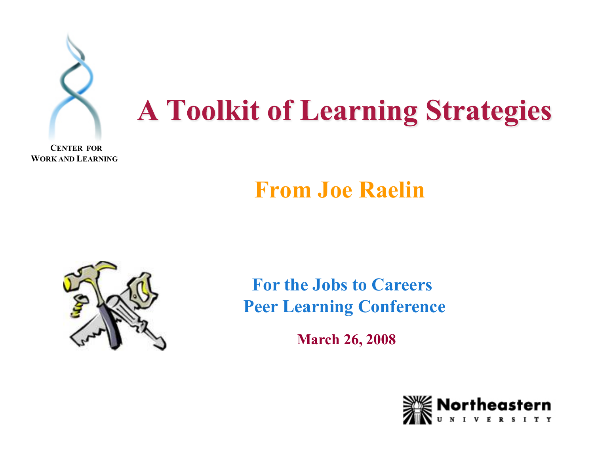

#### **From Joe Raelin**



**For the Jobs to Careers Peer Learning Conference** 

**March 26, 2008** 

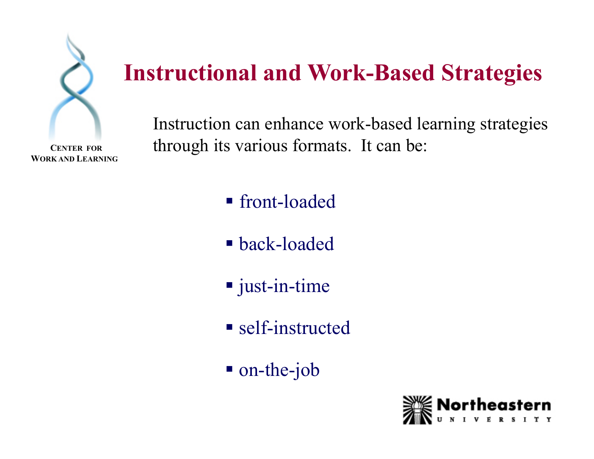

 **CENTER FOR WORK AND LEARNING** 

### **Instructional and Work-Based Strategies**

Instruction can enhance work-based learning strategies through its various formats. It can be:

- front-loaded
- back-loaded
- just-in-time
- self-instructed
- on-the-job

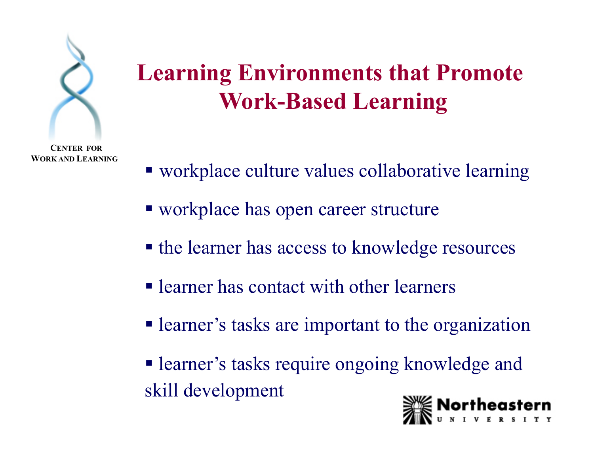

### **Learning Environments that Promote Work-Based Learning**

- workplace culture values collaborative learning
- workplace has open career structure
- the learner has access to knowledge resources
- learner has contact with other learners
- learner's tasks are important to the organization
- learner's tasks require ongoing knowledge and skill development

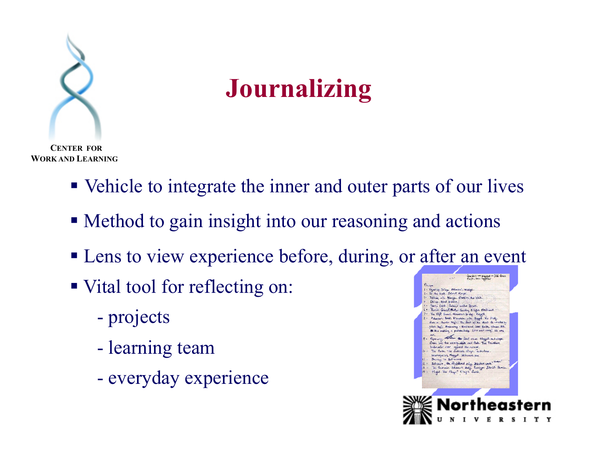

**Journalizing** 

 **CENTER FOR WORK AND LEARNING** 

- Vehicle to integrate the inner and outer parts of our lives
- Method to gain insight into our reasoning and actions
- **Lens to view experience before, during, or after an event**
- Vital tool for reflecting on:
	- projects
	- learning team
	- everyday experience

Teachers <del>in praging</del> - Alli de.<br>Enclass two matchers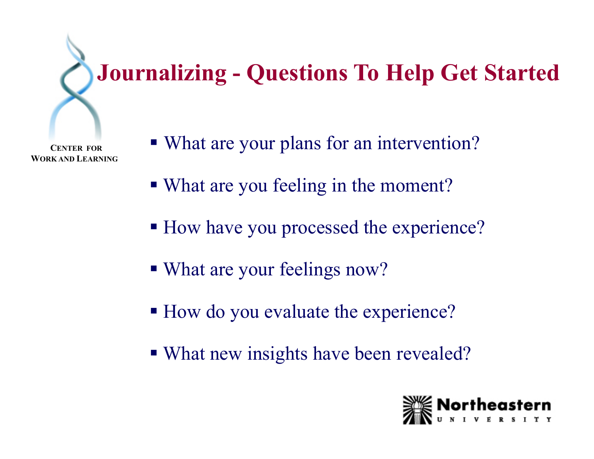## **Journalizing - Questions To Help Get Started**

- What are your plans for an intervention?
- What are you feeling in the moment?
- How have you processed the experience?
- What are your feelings now?
- How do you evaluate the experience?
- What new insights have been revealed?

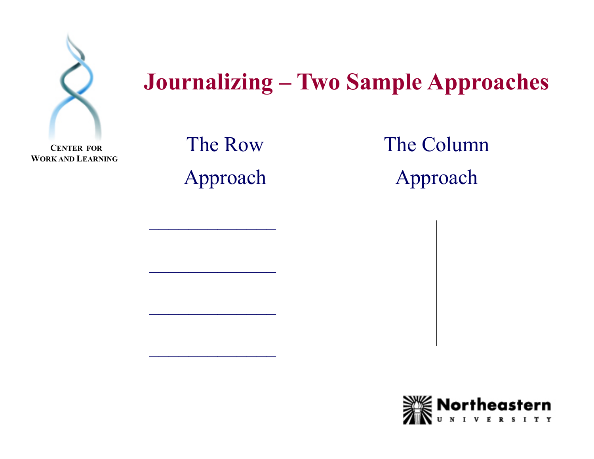

#### **Journalizing – Two Sample Approaches**

 **CENTER FOR WORK AND LEARNING** 

The Row Approach

 $\frac{1}{2}$ 

 $\frac{1}{2}$ 

The Column Approach

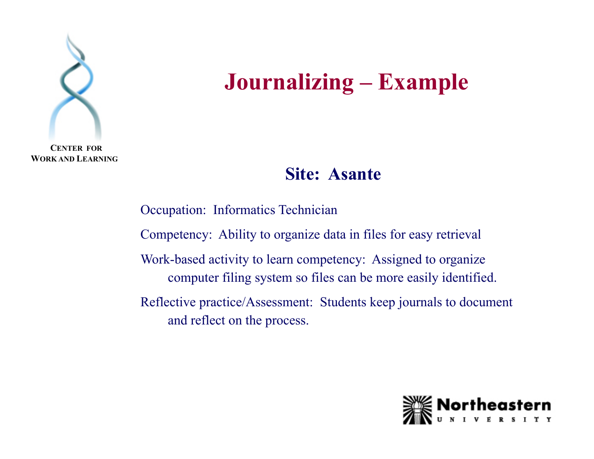

**Journalizing – Example**

**WORK AND LEARNING** 

#### **Site: Asante**

Occupation: Informatics Technician Competency: Ability to organize data in files for easy retrieval Work-based activity to learn competency: Assigned to organize computer filing system so files can be more easily identified. Reflective practice/Assessment: Students keep journals to document and reflect on the process.

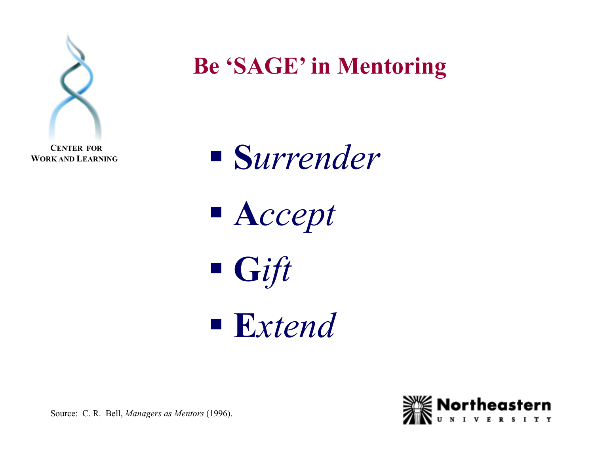

**Be 'SAGE' in Mentoring**



■ A*ccept* 

**G***ift* 

**E***xtend* 



Source: C. R. Bell, *Managers as Mentors* (1996).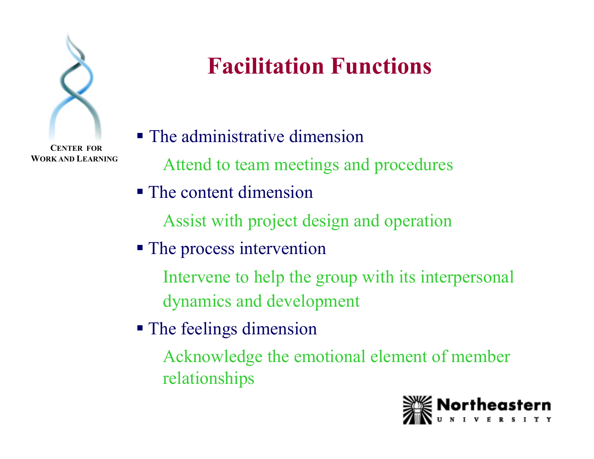

 **CENTER FOR WORK AND LEARNING** 

## **Facilitation Functions**

- The administrative dimension Attend to team meetings and procedures
- The content dimension

Assist with project design and operation

• The process intervention

Intervene to help the group with its interpersonal dynamics and development

**The feelings dimension** 

Acknowledge the emotional element of member relationships

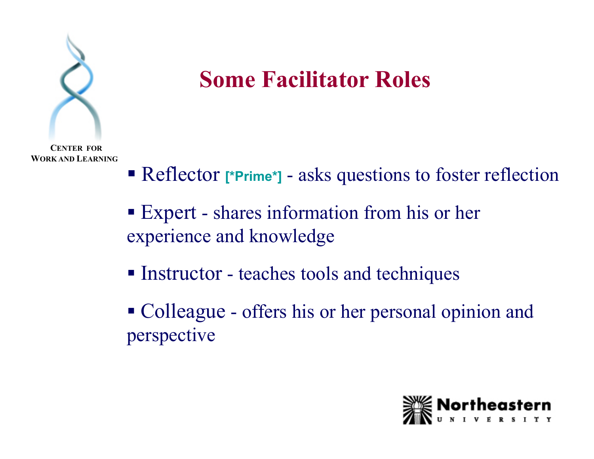

#### **Some Facilitator Roles**

- Reflector [\*Prime\*] asks questions to foster reflection
- Expert shares information from his or her experience and knowledge
- Instructor teaches tools and techniques
- Colleague offers his or her personal opinion and perspective

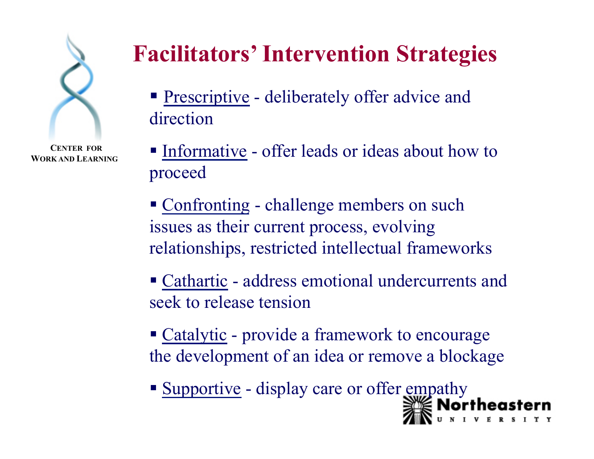

 **CENTER FOR WORK AND LEARNING** 

### **Facilitators' Intervention Strategies**

- **Prescriptive deliberately offer advice and** direction
- Informative offer leads or ideas about how to proceed
- Confronting challenge members on such issues as their current process, evolving relationships, restricted intellectual frameworks
- Cathartic address emotional undercurrents and seek to release tension
- Catalytic provide a framework to encourage the development of an idea or remove a blockage
- **Supportive display care or offer empathy**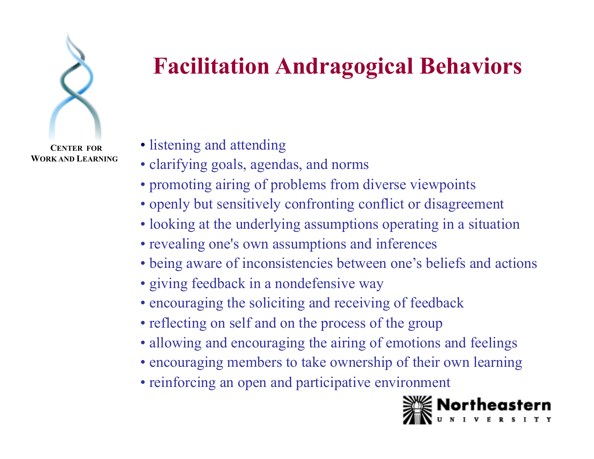

 **CENTER FOR WORK AND LEARNING** 

## **Facilitation Andragogical Behaviors**

#### • listening and attending

- clarifying goals, agendas, and norms
- promoting airing of problems from diverse viewpoints
- openly but sensitively confronting conflict or disagreement
- looking at the underlying assumptions operating in a situation
- revealing one's own assumptions and inferences
- being aware of inconsistencies between one's beliefs and actions
- giving feedback in a nondefensive way
- encouraging the soliciting and receiving of feedback
- reflecting on self and on the process of the group
- allowing and encouraging the airing of emotions and feelings
- encouraging members to take ownership of their own learning
- reinforcing an open and participative environment

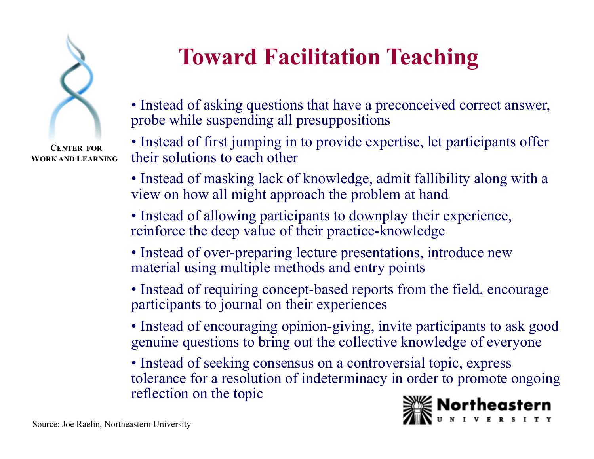

 **CENTER FOR WORK AND LEARNING** 

### **Toward Facilitation Teaching**

• Instead of asking questions that have a preconceived correct answer, probe while suspending all presuppositions

• Instead of first jumping in to provide expertise, let participants offer their solutions to each other

• Instead of masking lack of knowledge, admit fallibility along with a view on how all might approach the problem at hand

• Instead of allowing participants to downplay their experience, reinforce the deep value of their practice-knowledge

- Instead of over-preparing lecture presentations, introduce new material using multiple methods and entry points
- Instead of requiring concept-based reports from the field, encourage participants to journal on their experiences
- Instead of encouraging opinion-giving, invite participants to ask good genuine questions to bring out the collective knowledge of everyone
- Instead of seeking consensus on a controversial topic, express tolerance for a resolution of indeterminacy in order to promote ongoing reflection on the topic

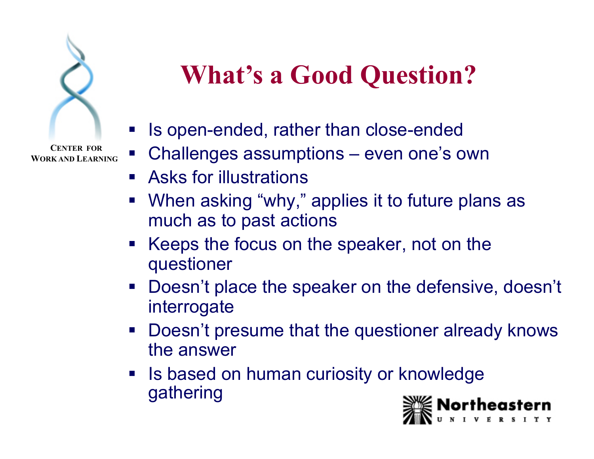

# **What's a Good Question?**

- Is open-ended, rather than close-ended
- Challenges assumptions even one's own
- **EXALLERG Asks for illustrations**
- **When asking "why," applies it to future plans as** much as to past actions
- Keeps the focus on the speaker, not on the questioner
- **Doesn't place the speaker on the defensive, doesn't** interrogate
- Doesn't presume that the questioner already knows the answer
- **If also based on human curiosity or knowledge** gathering

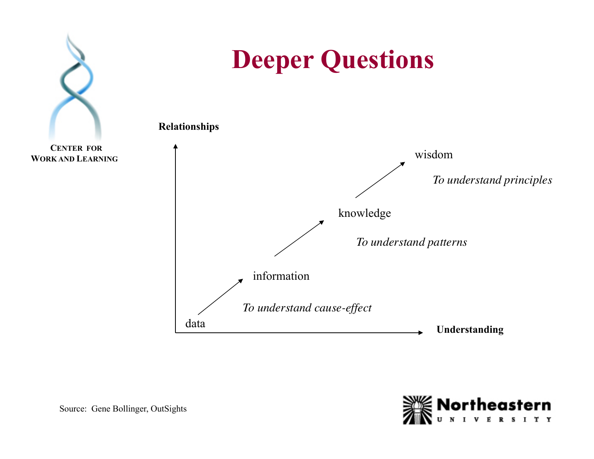

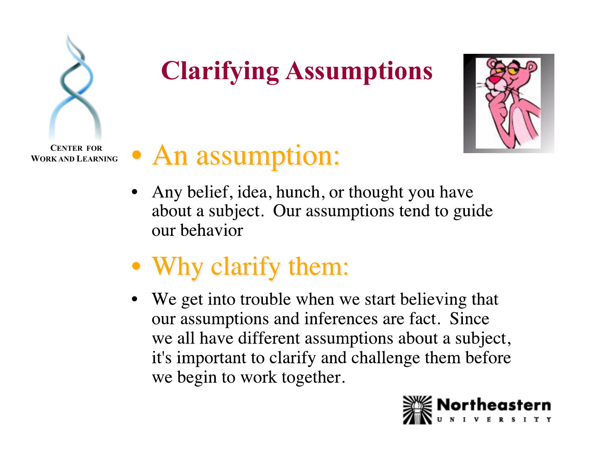

# **Clarifying Assumptions**



 **CENTER FOR WORK AND LEARNING** 

### • An assumption:

- Any belief, idea, hunch, or thought you have about a subject. Our assumptions tend to guide our behavior
- Why clarify them:
- We get into trouble when we start believing that our assumptions and inferences are fact. Since we all have different assumptions about a subject, it's important to clarify and challenge them before we begin to work together.

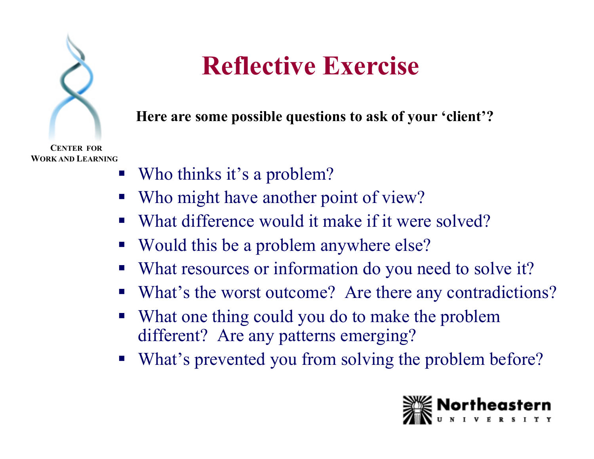

## **Reflective Exercise**

**Here are some possible questions to ask of your 'client'?** 

- Who thinks it's a problem?
- Who might have another point of view?
- What difference would it make if it were solved?
- Would this be a problem anywhere else?
- What resources or information do you need to solve it?
- What's the worst outcome? Are there any contradictions?
- What one thing could you do to make the problem different? Are any patterns emerging?
- What's prevented you from solving the problem before?

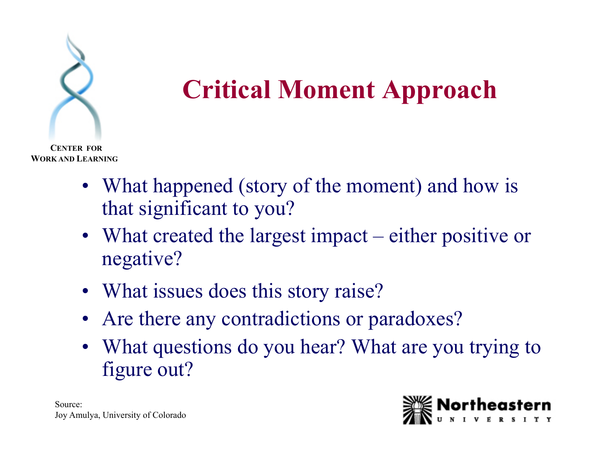

# **Critical Moment Approach**

- What happened (story of the moment) and how is that significant to you?
- What created the largest impact either positive or negative?
- What issues does this story raise?
- Are there any contradictions or paradoxes?
- What questions do you hear? What are you trying to figure out?

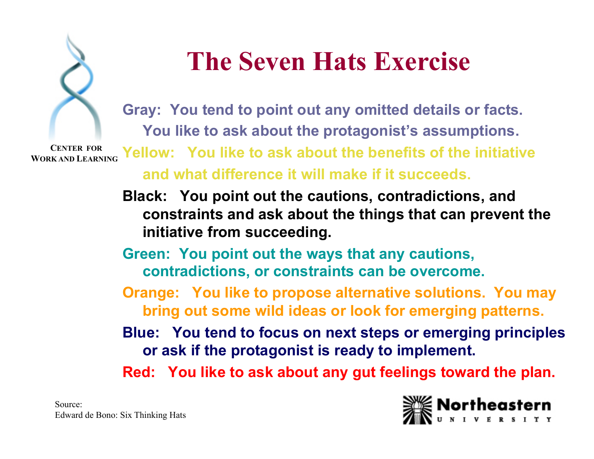

## **The Seven Hats Exercise**

**Gray: You tend to point out any omitted details or facts. You like to ask about the protagonist's assumptions.** 

 **CENTER FOR WORK AND LEARNING** 

**Yellow: You like to ask about the benefits of the initiative and what difference it will make if it succeeds.**

**Black: You point out the cautions, contradictions, and constraints and ask about the things that can prevent the initiative from succeeding.** 

**Green: You point out the ways that any cautions, contradictions, or constraints can be overcome.** 

**Orange: You like to propose alternative solutions. You may bring out some wild ideas or look for emerging patterns.** 

**Blue: You tend to focus on next steps or emerging principles or ask if the protagonist is ready to implement.** 

**Red: You like to ask about any gut feelings toward the plan.** 

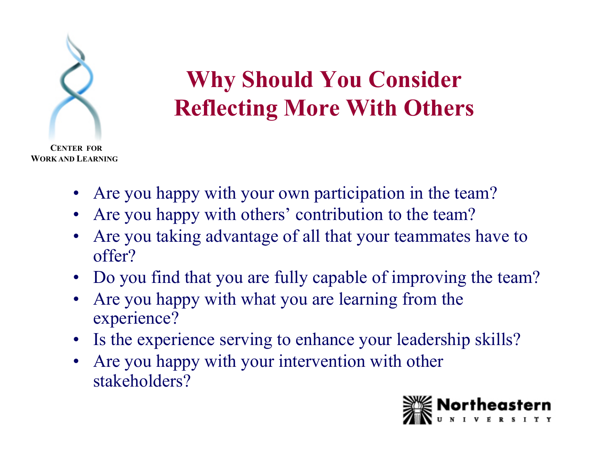

### **Why Should You Consider Reflecting More With Others**

- Are you happy with your own participation in the team?
- Are you happy with others' contribution to the team?
- Are you taking advantage of all that your teammates have to offer?
- Do you find that you are fully capable of improving the team?
- Are you happy with what you are learning from the experience?
- Is the experience serving to enhance your leadership skills?
- Are you happy with your intervention with other stakeholders?

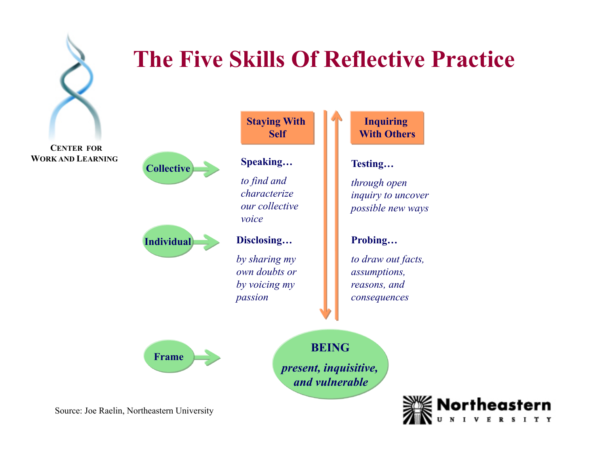

#### **The Five Skills Of Reflective Practice**

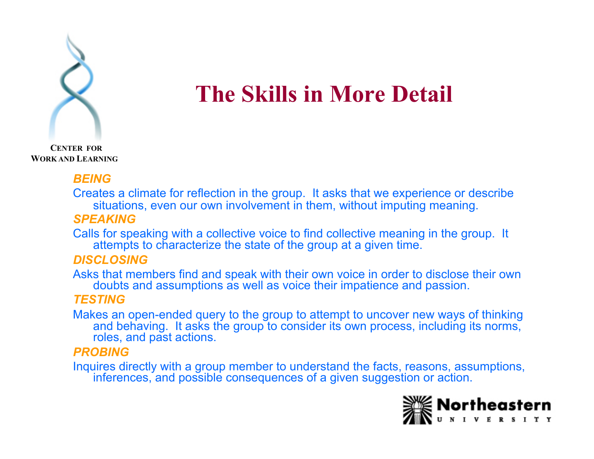

#### **The Skills in More Detail**

 **CENTER FOR WORK AND LEARNING** 

#### *BEING*

Creates a climate for reflection in the group. It asks that we experience or describe situations, even our own involvement in them, without imputing meaning.

#### *SPEAKING*

Calls for speaking with a collective voice to find collective meaning in the group. It attempts to characterize the state of the group at a given time.

#### *DISCLOSING*

Asks that members find and speak with their own voice in order to disclose their own doubts and assumptions as well as voice their impatience and passion.

#### *TESTING*

Makes an open-ended query to the group to attempt to uncover new ways of thinking and behaving. It asks the group to consider its own process, including its norms, roles, and past actions.

#### *PROBING*

Inquires directly with a group member to understand the facts, reasons, assumptions, inferences, and possible consequences of a given suggestion or action.

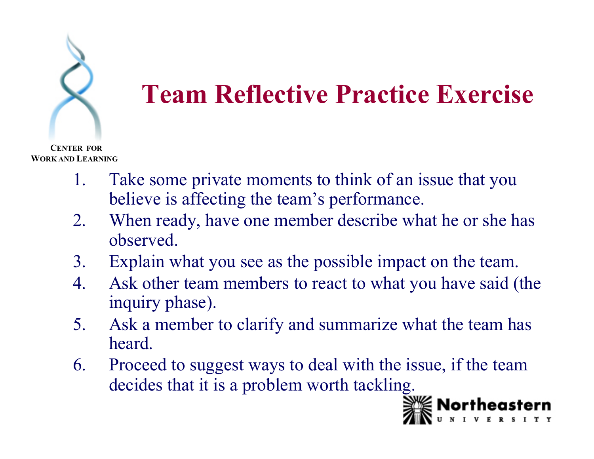

- 1. Take some private moments to think of an issue that you believe is affecting the team's performance.
- 2. When ready, have one member describe what he or she has observed.
- 3. Explain what you see as the possible impact on the team.
- 4. Ask other team members to react to what you have said (the inquiry phase).
- 5. Ask a member to clarify and summarize what the team has heard.
- 6. Proceed to suggest ways to deal with the issue, if the team decides that it is a problem worth tackling.